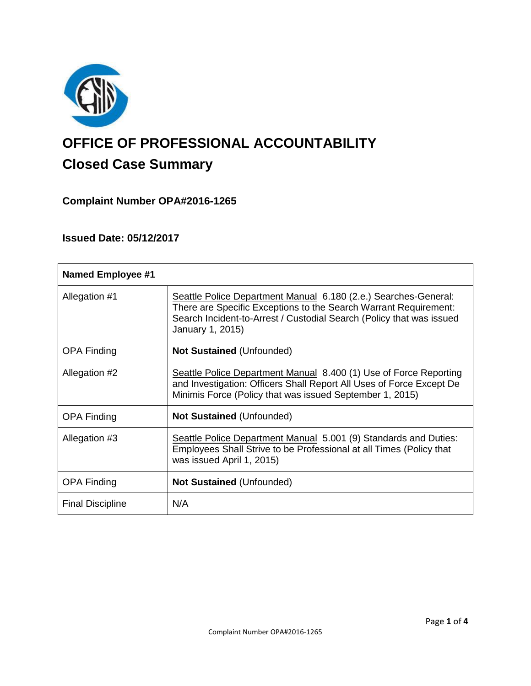

# **OFFICE OF PROFESSIONAL ACCOUNTABILITY Closed Case Summary**

# **Complaint Number OPA#2016-1265**

# **Issued Date: 05/12/2017**

| <b>Named Employee #1</b> |                                                                                                                                                                                                                                 |
|--------------------------|---------------------------------------------------------------------------------------------------------------------------------------------------------------------------------------------------------------------------------|
| Allegation #1            | Seattle Police Department Manual 6.180 (2.e.) Searches-General:<br>There are Specific Exceptions to the Search Warrant Requirement:<br>Search Incident-to-Arrest / Custodial Search (Policy that was issued<br>January 1, 2015) |
| <b>OPA Finding</b>       | <b>Not Sustained (Unfounded)</b>                                                                                                                                                                                                |
| Allegation #2            | Seattle Police Department Manual 8.400 (1) Use of Force Reporting<br>and Investigation: Officers Shall Report All Uses of Force Except De<br>Minimis Force (Policy that was issued September 1, 2015)                           |
| <b>OPA Finding</b>       | <b>Not Sustained (Unfounded)</b>                                                                                                                                                                                                |
| Allegation #3            | Seattle Police Department Manual 5.001 (9) Standards and Duties:<br>Employees Shall Strive to be Professional at all Times (Policy that<br>was issued April 1, 2015)                                                            |
| <b>OPA Finding</b>       | <b>Not Sustained (Unfounded)</b>                                                                                                                                                                                                |
| <b>Final Discipline</b>  | N/A                                                                                                                                                                                                                             |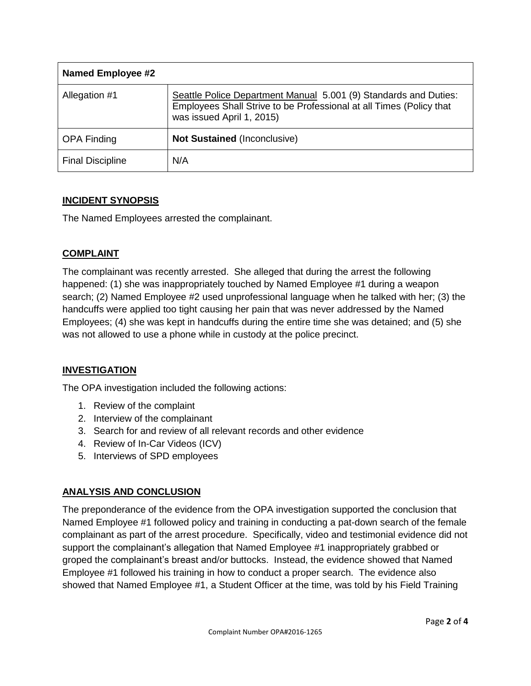| <b>Named Employee #2</b> |                                                                                                                                                                      |
|--------------------------|----------------------------------------------------------------------------------------------------------------------------------------------------------------------|
| Allegation #1            | Seattle Police Department Manual 5.001 (9) Standards and Duties:<br>Employees Shall Strive to be Professional at all Times (Policy that<br>was issued April 1, 2015) |
| <b>OPA Finding</b>       | <b>Not Sustained (Inconclusive)</b>                                                                                                                                  |
| <b>Final Discipline</b>  | N/A                                                                                                                                                                  |

## **INCIDENT SYNOPSIS**

The Named Employees arrested the complainant.

## **COMPLAINT**

The complainant was recently arrested. She alleged that during the arrest the following happened: (1) she was inappropriately touched by Named Employee #1 during a weapon search; (2) Named Employee #2 used unprofessional language when he talked with her; (3) the handcuffs were applied too tight causing her pain that was never addressed by the Named Employees; (4) she was kept in handcuffs during the entire time she was detained; and (5) she was not allowed to use a phone while in custody at the police precinct.

## **INVESTIGATION**

The OPA investigation included the following actions:

- 1. Review of the complaint
- 2. Interview of the complainant
- 3. Search for and review of all relevant records and other evidence
- 4. Review of In-Car Videos (ICV)
- 5. Interviews of SPD employees

## **ANALYSIS AND CONCLUSION**

The preponderance of the evidence from the OPA investigation supported the conclusion that Named Employee #1 followed policy and training in conducting a pat-down search of the female complainant as part of the arrest procedure. Specifically, video and testimonial evidence did not support the complainant's allegation that Named Employee #1 inappropriately grabbed or groped the complainant's breast and/or buttocks. Instead, the evidence showed that Named Employee #1 followed his training in how to conduct a proper search. The evidence also showed that Named Employee #1, a Student Officer at the time, was told by his Field Training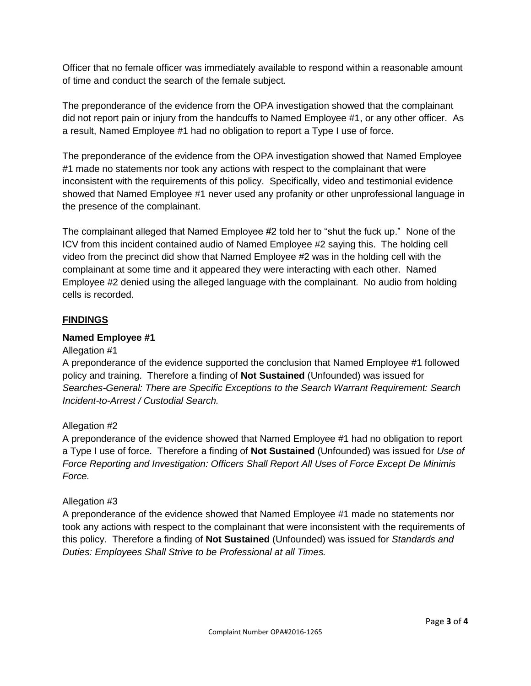Officer that no female officer was immediately available to respond within a reasonable amount of time and conduct the search of the female subject.

The preponderance of the evidence from the OPA investigation showed that the complainant did not report pain or injury from the handcuffs to Named Employee #1, or any other officer. As a result, Named Employee #1 had no obligation to report a Type I use of force.

The preponderance of the evidence from the OPA investigation showed that Named Employee #1 made no statements nor took any actions with respect to the complainant that were inconsistent with the requirements of this policy. Specifically, video and testimonial evidence showed that Named Employee #1 never used any profanity or other unprofessional language in the presence of the complainant.

The complainant alleged that Named Employee #2 told her to "shut the fuck up." None of the ICV from this incident contained audio of Named Employee #2 saying this. The holding cell video from the precinct did show that Named Employee #2 was in the holding cell with the complainant at some time and it appeared they were interacting with each other. Named Employee #2 denied using the alleged language with the complainant. No audio from holding cells is recorded.

### **FINDINGS**

#### **Named Employee #1**

#### Allegation #1

A preponderance of the evidence supported the conclusion that Named Employee #1 followed policy and training. Therefore a finding of **Not Sustained** (Unfounded) was issued for *Searches-General: There are Specific Exceptions to the Search Warrant Requirement: Search Incident-to-Arrest / Custodial Search.*

#### Allegation #2

A preponderance of the evidence showed that Named Employee #1 had no obligation to report a Type I use of force. Therefore a finding of **Not Sustained** (Unfounded) was issued for *Use of Force Reporting and Investigation: Officers Shall Report All Uses of Force Except De Minimis Force.*

#### Allegation #3

A preponderance of the evidence showed that Named Employee #1 made no statements nor took any actions with respect to the complainant that were inconsistent with the requirements of this policy. Therefore a finding of **Not Sustained** (Unfounded) was issued for *Standards and Duties: Employees Shall Strive to be Professional at all Times.*